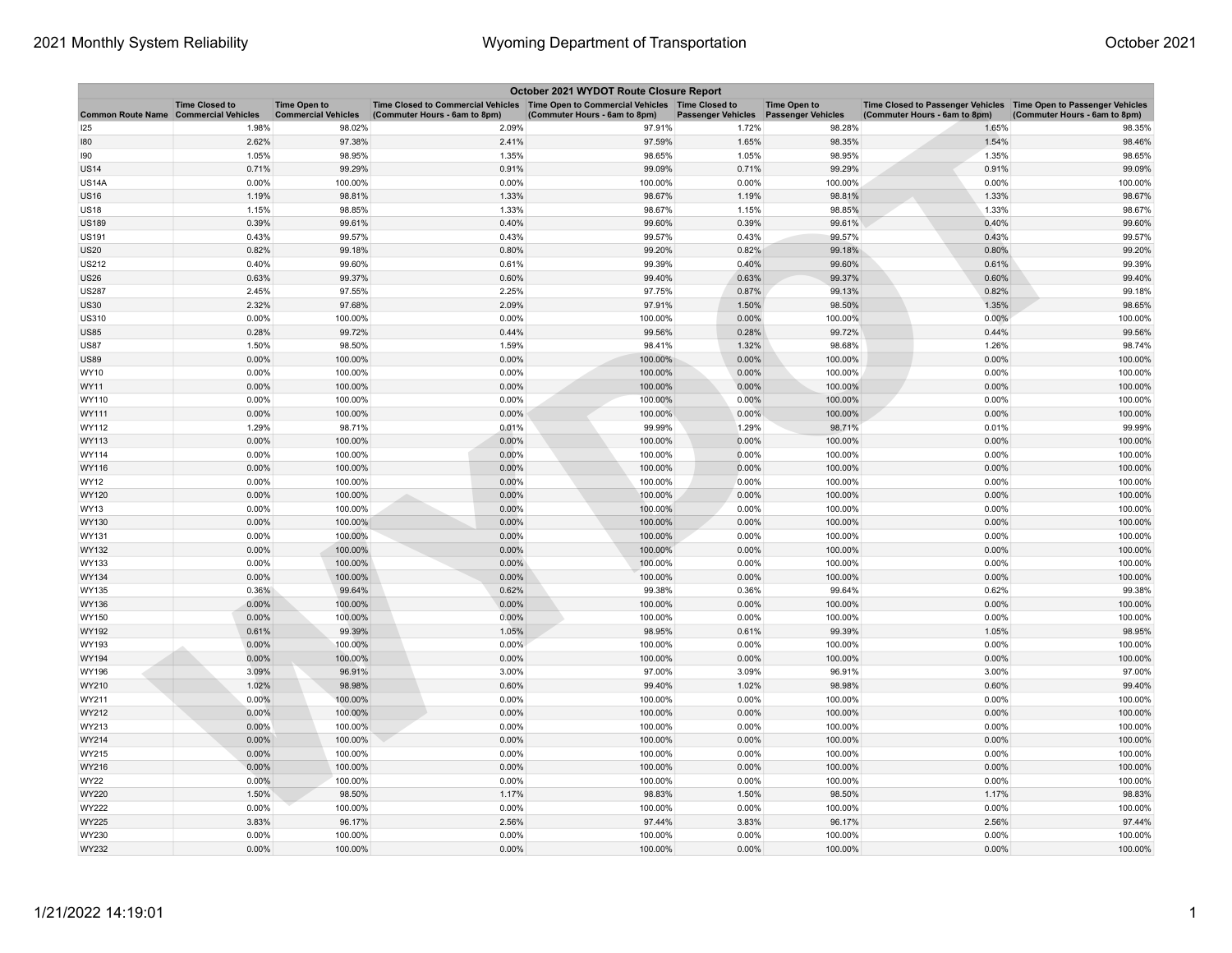| October 2021 WYDOT Route Closure Report      |                       |                                                   |                                                                                                                       |                               |                           |                                                  |                                                                                                      |                               |  |
|----------------------------------------------|-----------------------|---------------------------------------------------|-----------------------------------------------------------------------------------------------------------------------|-------------------------------|---------------------------|--------------------------------------------------|------------------------------------------------------------------------------------------------------|-------------------------------|--|
| <b>Common Route Name Commercial Vehicles</b> | <b>Time Closed to</b> | <b>Time Open to</b><br><b>Commercial Vehicles</b> | Time Closed to Commercial Vehicles  Time Open to Commercial Vehicles  Time Closed to<br>(Commuter Hours - 6am to 8pm) | (Commuter Hours - 6am to 8pm) | <b>Passenger Vehicles</b> | <b>Time Open to</b><br><b>Passenger Vehicles</b> | Time Closed to Passenger Vehicles   Time Open to Passenger Vehicles<br>(Commuter Hours - 6am to 8pm) | (Commuter Hours - 6am to 8pm) |  |
| 125                                          | 1.98%                 | 98.02%                                            | 2.09%                                                                                                                 | 97.91%                        | 1.72%                     | 98.28%                                           | 1.65%                                                                                                | 98.35%                        |  |
| 180                                          | 2.62%                 | 97.38%                                            | 2.41%                                                                                                                 | 97.59%                        | 1.65%                     | 98.35%                                           | 1.54%                                                                                                | 98.46%                        |  |
| 190                                          | 1.05%                 | 98.95%                                            | 1.35%                                                                                                                 | 98.65%                        | 1.05%                     | 98.95%                                           | 1.35%                                                                                                | 98.65%                        |  |
| US14                                         | 0.71%                 | 99.29%                                            | 0.91%                                                                                                                 | 99.09%                        | 0.71%                     | 99.29%                                           | 0.91%                                                                                                | 99.09%                        |  |
| <b>US14A</b>                                 | 0.00%                 | 100.00%                                           | 0.00%                                                                                                                 | 100.00%                       | 0.00%                     | 100.00%                                          | 0.00%                                                                                                | 100.00%                       |  |
| <b>US16</b>                                  | 1.19%                 | 98.81%                                            | 1.33%                                                                                                                 | 98.67%                        | 1.19%                     | 98.81%                                           | 1.33%                                                                                                | 98.67%                        |  |
| <b>US18</b>                                  | 1.15%                 | 98.85%                                            | 1.33%                                                                                                                 | 98.67%                        | 1.15%                     | 98.85%                                           | 1.33%                                                                                                | 98.67%                        |  |
| <b>US189</b>                                 | 0.39%                 | 99.61%                                            | 0.40%                                                                                                                 | 99.60%                        | 0.39%                     | 99.61%                                           | 0.40%                                                                                                | 99.60%                        |  |
| <b>US191</b>                                 | 0.43%                 | 99.57%                                            | 0.43%                                                                                                                 | 99.57%                        | 0.43%                     | 99.57%                                           | 0.43%                                                                                                | 99.57%                        |  |
| <b>US20</b>                                  | 0.82%                 | 99.18%                                            | 0.80%                                                                                                                 | 99.20%                        | 0.82%                     | 99.18%                                           | 0.80%                                                                                                | 99.20%                        |  |
| <b>US212</b>                                 | 0.40%                 | 99.60%                                            | 0.61%                                                                                                                 | 99.39%                        | 0.40%                     | 99.60%                                           | 0.61%                                                                                                | 99.39%                        |  |
| US26                                         | 0.63%                 | 99.37%                                            | 0.60%                                                                                                                 | 99.40%                        | 0.63%                     | 99.37%                                           | 0.60%                                                                                                | 99.40%                        |  |
| <b>US287</b>                                 | 2.45%                 | 97.55%                                            | 2.25%                                                                                                                 | 97.75%                        | 0.87%                     | 99.13%                                           | 0.82%                                                                                                | 99.18%                        |  |
| US30                                         | 2.32%                 | 97.68%                                            | 2.09%                                                                                                                 | 97.91%                        | 1.50%                     | 98.50%                                           | 1.35%                                                                                                | 98.65%                        |  |
| <b>US310</b>                                 | 0.00%                 | 100.00%                                           | 0.00%                                                                                                                 | 100.00%                       | 0.00%                     | 100.00%                                          | 0.00%                                                                                                | 100.00%                       |  |
| <b>US85</b>                                  | 0.28%                 | 99.72%                                            | 0.44%                                                                                                                 | 99.56%                        | 0.28%                     | 99.72%                                           | 0.44%                                                                                                | 99.56%                        |  |
| <b>US87</b>                                  | 1.50%                 | 98.50%                                            | 1.59%                                                                                                                 | 98.41%                        | 1.32%                     | 98.68%                                           | 1.26%                                                                                                | 98.74%                        |  |
| US89                                         | 0.00%                 | 100.00%                                           | 0.00%                                                                                                                 | 100.00%                       | 0.00%                     | 100.00%                                          | 0.00%                                                                                                | 100.00%                       |  |
| WY10                                         | 0.00%                 | 100.00%                                           | 0.00%                                                                                                                 | 100.00%                       | 0.00%                     | 100.00%                                          | 0.00%                                                                                                | 100.00%                       |  |
| WY11                                         | 0.00%                 | 100.00%                                           | 0.00%                                                                                                                 | 100.00%                       | 0.00%                     | 100.00%                                          | 0.00%                                                                                                | 100.00%                       |  |
| WY110                                        | 0.00%                 | 100.00%                                           | 0.00%                                                                                                                 | 100.00%                       | 0.00%                     | 100.00%                                          | 0.00%                                                                                                | 100.00%                       |  |
| WY111                                        | 0.00%                 | 100.00%                                           | 0.00%                                                                                                                 | 100.00%                       | 0.00%                     | 100.00%                                          | 0.00%                                                                                                | 100.00%                       |  |
| WY112                                        | 1.29%                 | 98.71%                                            | 0.01%                                                                                                                 | 99.99%                        | 1.29%                     | 98.71%                                           | 0.01%                                                                                                | 99.99%                        |  |
| WY113                                        | 0.00%                 | 100.00%                                           | 0.00%                                                                                                                 | 100.00%                       | 0.00%                     | 100.00%                                          | 0.00%                                                                                                | 100.00%                       |  |
| WY114                                        | 0.00%                 | 100.00%                                           | 0.00%                                                                                                                 | 100.00%                       | 0.00%                     | 100.00%                                          | 0.00%                                                                                                | 100.00%                       |  |
| WY116                                        | 0.00%                 | 100.00%                                           | 0.00%                                                                                                                 | 100.00%                       | 0.00%                     | 100.00%                                          | 0.00%                                                                                                | 100.00%                       |  |
| WY12                                         | 0.00%                 | 100.00%                                           | 0.00%                                                                                                                 | 100.00%                       | 0.00%                     | 100.00%                                          | 0.00%                                                                                                | 100.00%                       |  |
| WY120                                        | 0.00%                 | 100.00%                                           | 0.00%                                                                                                                 | 100.00%                       | 0.00%                     | 100.00%                                          | 0.00%                                                                                                | 100.00%                       |  |
| WY13                                         | 0.00%                 | 100.00%                                           | 0.00%                                                                                                                 | 100.00%                       | 0.00%                     | 100.00%                                          | 0.00%                                                                                                | 100.00%                       |  |
| WY130                                        | 0.00%                 | 100.00%                                           | 0.00%                                                                                                                 | 100.00%                       | 0.00%                     | 100.00%                                          | 0.00%                                                                                                | 100.00%                       |  |
| WY131                                        | 0.00%                 | 100.00%                                           | 0.00%                                                                                                                 | 100.00%                       | 0.00%                     | 100.00%                                          | 0.00%                                                                                                | 100.00%                       |  |
| WY132                                        | 0.00%                 | 100.00%                                           | 0.00%                                                                                                                 | 100.00%                       | 0.00%                     | 100.00%                                          | 0.00%                                                                                                | 100.00%                       |  |
| WY133                                        | 0.00%                 | 100.00%                                           | 0.00%                                                                                                                 | 100.00%                       | 0.00%                     | 100.00%                                          | 0.00%                                                                                                | 100.00%                       |  |
| WY134                                        | 0.00%                 | 100.00%                                           | 0.00%                                                                                                                 | 100.00%                       | 0.00%                     | 100.00%                                          | 0.00%                                                                                                | 100.00%                       |  |
| WY135                                        | 0.36%                 | 99.64%                                            | 0.62%                                                                                                                 | 99.38%                        | 0.36%                     | 99.64%                                           | 0.62%                                                                                                | 99.38%                        |  |
| WY136                                        | 0.00%                 | 100.00%                                           | 0.00%                                                                                                                 | 100.00%                       | 0.00%                     | 100.00%                                          | 0.00%                                                                                                | 100.00%                       |  |
| WY150                                        | 0.00%                 | 100.00%                                           | 0.00%                                                                                                                 | 100.00%                       | 0.00%                     | 100.00%                                          | 0.00%                                                                                                | 100.00%                       |  |
| WY192                                        | 0.61%                 | 99.39%                                            | 1.05%                                                                                                                 | 98.95%                        | 0.61%                     | 99.39%                                           | 1.05%                                                                                                | 98.95%                        |  |
| WY193                                        | 0.00%                 | 100.00%                                           | 0.00%                                                                                                                 | 100.00%                       | 0.00%                     | 100.00%                                          | 0.00%                                                                                                | 100.00%                       |  |
| WY194                                        | 0.00%                 | 100.00%                                           | 0.00%                                                                                                                 | 100.00%                       | 0.00%                     | 100.00%                                          | $0.00\%$                                                                                             | 100.00%                       |  |
| WY196                                        | 3.09%                 | 96.91%                                            | 3.00%                                                                                                                 | 97.00%                        | 3.09%                     | 96.91%                                           | 3.00%                                                                                                | 97.00%                        |  |
| WY210                                        | 1.02%                 | 98.98%                                            | 0.60%                                                                                                                 | 99.40%                        | 1.02%                     | 98.98%                                           | 0.60%                                                                                                | 99.40%                        |  |
| WY211                                        | 0.00%                 | 100.00%                                           | 0.00%                                                                                                                 | 100.00%                       | 0.00%                     | 100.00%                                          | 0.00%                                                                                                | 100.00%                       |  |
| WY212                                        | 0.00%                 | 100.00%                                           | 0.00%                                                                                                                 | 100.00%                       | 0.00%                     | 100.00%                                          | 0.00%                                                                                                | 100.00%                       |  |
| WY213                                        | 0.00%                 | 100.00%                                           | 0.00%                                                                                                                 | 100.00%                       | 0.00%                     | 100.00%                                          | 0.00%                                                                                                | 100.00%                       |  |
| WY214                                        | 0.00%                 | 100.00%                                           | 0.00%                                                                                                                 | 100.00%                       | 0.00%                     | 100.00%                                          | 0.00%                                                                                                | 100.00%                       |  |
| WY215                                        | 0.00%                 | 100.00%                                           | 0.00%                                                                                                                 | 100.00%                       | 0.00%                     | 100.00%                                          | 0.00%                                                                                                | 100.00%                       |  |
| WY216                                        | 0.00%                 | 100.00%                                           | 0.00%                                                                                                                 | 100.00%                       | 0.00%                     | 100.00%                                          | 0.00%                                                                                                | 100.00%                       |  |
| WY22                                         | 0.00%                 | 100.00%                                           | 0.00%                                                                                                                 | 100.00%                       | 0.00%                     | 100.00%                                          | 0.00%                                                                                                | 100.00%                       |  |
| WY220                                        | 1.50%                 | 98.50%                                            | 1.17%                                                                                                                 | 98.83%                        | 1.50%                     | 98.50%                                           | 1.17%                                                                                                | 98.83%                        |  |
| WY222                                        | 0.00%                 | 100.00%                                           | 0.00%                                                                                                                 | 100.00%                       | 0.00%                     | 100.00%                                          | 0.00%                                                                                                | 100.00%                       |  |
| WY225                                        | 3.83%                 | 96.17%                                            | 2.56%                                                                                                                 | 97.44%                        | 3.83%                     | 96.17%                                           | 2.56%                                                                                                | 97.44%                        |  |
| WY230                                        | 0.00%                 | 100.00%                                           | 0.00%                                                                                                                 | 100.00%                       | 0.00%                     | 100.00%                                          | 0.00%                                                                                                | 100.00%                       |  |
| WY232                                        | 0.00%                 | 100.00%                                           | 0.00%                                                                                                                 | 100.00%                       | 0.00%                     | 100.00%                                          | 0.00%                                                                                                | 100.00%                       |  |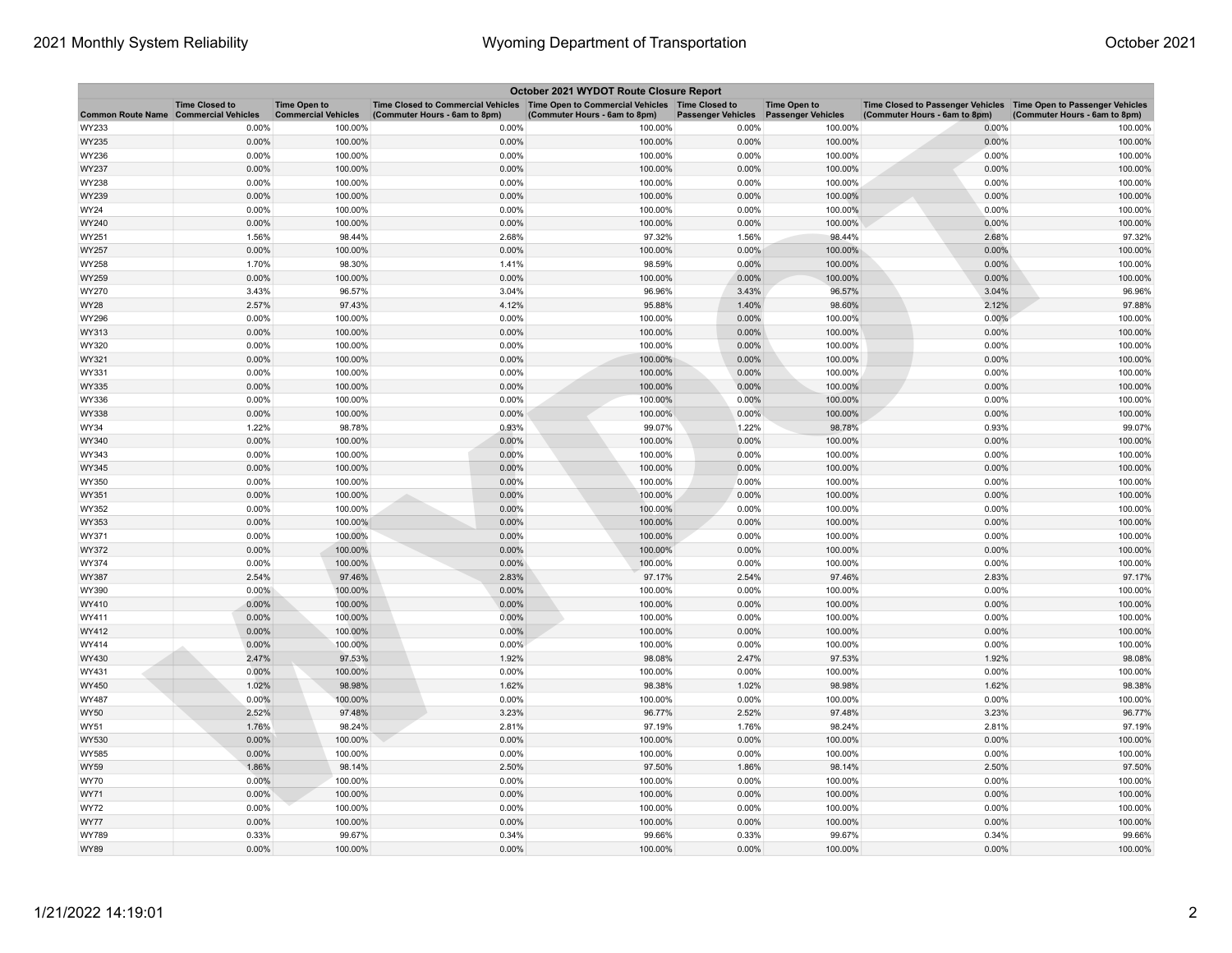| October 2021 WYDOT Route Closure Report |                                                     |                                                   |                                                                                                                       |                               |                           |                                                  |                                                                                                      |                               |  |
|-----------------------------------------|-----------------------------------------------------|---------------------------------------------------|-----------------------------------------------------------------------------------------------------------------------|-------------------------------|---------------------------|--------------------------------------------------|------------------------------------------------------------------------------------------------------|-------------------------------|--|
| <b>Common Route Name</b>                | <b>Time Closed to</b><br><b>Commercial Vehicles</b> | <b>Time Open to</b><br><b>Commercial Vehicles</b> | Time Closed to Commercial Vehicles  Time Open to Commercial Vehicles  Time Closed to<br>(Commuter Hours - 6am to 8pm) | (Commuter Hours - 6am to 8pm) | <b>Passenger Vehicles</b> | <b>Time Open to</b><br><b>Passenger Vehicles</b> | Time Closed to Passenger Vehicles   Time Open to Passenger Vehicles<br>(Commuter Hours - 6am to 8pm) | (Commuter Hours - 6am to 8pm) |  |
| WY233                                   | 0.00%                                               | 100.00%                                           | 0.00%                                                                                                                 | 100.00%                       | 0.00%                     | 100.00%                                          | 0.00%                                                                                                | 100.00%                       |  |
| WY235                                   | 0.00%                                               | 100.00%                                           | 0.00%                                                                                                                 | 100.00%                       | 0.00%                     | 100.00%                                          | 0.00%                                                                                                | 100.00%                       |  |
| WY236                                   | 0.00%                                               | 100.00%                                           | 0.00%                                                                                                                 | 100.00%                       | 0.00%                     | 100.00%                                          | 0.00%                                                                                                | 100.00%                       |  |
| WY237                                   | 0.00%                                               | 100.00%                                           | 0.00%                                                                                                                 | 100.00%                       | 0.00%                     | 100.00%                                          | 0.00%                                                                                                | 100.00%                       |  |
| WY238                                   | 0.00%                                               | 100.00%                                           | 0.00%                                                                                                                 | 100.00%                       | 0.00%                     | 100.00%                                          | 0.00%                                                                                                | 100.00%                       |  |
| WY239                                   | 0.00%                                               | 100.00%                                           | 0.00%                                                                                                                 | 100.00%                       | 0.00%                     | 100.00%                                          | 0.00%                                                                                                | 100.00%                       |  |
| WY24                                    | 0.00%                                               | 100.00%                                           | 0.00%                                                                                                                 | 100.00%                       | 0.00%                     | 100.00%                                          | 0.00%                                                                                                | 100.00%                       |  |
| WY240                                   | 0.00%                                               | 100.00%                                           | 0.00%                                                                                                                 | 100.00%                       | 0.00%                     | 100.00%                                          | 0.00%                                                                                                | 100.00%                       |  |
| WY251                                   | 1.56%                                               | 98.44%                                            | 2.68%                                                                                                                 | 97.32%                        | 1.56%                     | 98.44%                                           | 2.68%                                                                                                | 97.32%                        |  |
| WY257                                   | 0.00%                                               | 100.00%                                           | 0.00%                                                                                                                 | 100.00%                       | 0.00%                     | 100.00%                                          | 0.00%                                                                                                | 100.00%                       |  |
| WY258                                   | 1.70%                                               | 98.30%                                            | 1.41%                                                                                                                 | 98.59%                        | 0.00%                     | 100.00%                                          | 0.00%                                                                                                | 100.00%                       |  |
| WY259                                   | 0.00%                                               | 100.00%                                           | 0.00%                                                                                                                 | 100.00%                       | 0.00%                     | 100.00%                                          | 0.00%                                                                                                | 100.00%                       |  |
| WY270                                   | 3.43%                                               | 96.57%                                            | 3.04%                                                                                                                 | 96.96%                        | 3.43%                     | 96.57%                                           | 3.04%                                                                                                | 96.96%                        |  |
| WY28                                    | 2.57%                                               | 97.43%                                            | 4.12%                                                                                                                 | 95.88%                        | 1.40%                     | 98.60%                                           | 2.12%                                                                                                | 97.88%                        |  |
| WY296                                   | 0.00%                                               | 100.00%                                           | 0.00%                                                                                                                 | 100.00%                       | 0.00%                     | 100.00%                                          | 0.00%                                                                                                | 100.00%                       |  |
| WY313                                   | 0.00%                                               | 100.00%                                           | 0.00%                                                                                                                 | 100.00%                       | 0.00%                     | 100.00%                                          | 0.00%                                                                                                | 100.00%                       |  |
| WY320                                   | 0.00%                                               | 100.00%                                           | 0.00%                                                                                                                 | 100.00%                       | 0.00%                     | 100.00%                                          | 0.00%                                                                                                | 100.00%                       |  |
| WY321                                   | 0.00%                                               | 100.00%                                           | 0.00%                                                                                                                 | 100.00%                       | 0.00%                     | 100.00%                                          | 0.00%                                                                                                | 100.00%                       |  |
| WY331                                   | 0.00%                                               | 100.00%                                           | 0.00%                                                                                                                 | 100.00%                       | 0.00%                     | 100.00%                                          | 0.00%                                                                                                | 100.00%                       |  |
| WY335                                   | 0.00%                                               | 100.00%                                           | 0.00%                                                                                                                 | 100.00%                       | 0.00%                     | 100.00%                                          | 0.00%                                                                                                | 100.00%                       |  |
| WY336                                   | 0.00%                                               | 100.00%                                           | 0.00%                                                                                                                 | 100.00%                       | 0.00%                     | 100.00%                                          | 0.00%                                                                                                | 100.00%                       |  |
| WY338                                   | 0.00%                                               | 100.00%                                           | 0.00%                                                                                                                 | 100.00%                       | 0.00%                     | 100.00%                                          | 0.00%                                                                                                | 100.00%                       |  |
| WY34                                    | 1.22%                                               | 98.78%                                            | 0.93%                                                                                                                 | 99.07%                        | 1.22%                     | 98.78%                                           | 0.93%                                                                                                | 99.07%                        |  |
| WY340                                   | 0.00%                                               | 100.00%                                           | 0.00%                                                                                                                 | 100.00%                       | 0.00%                     | 100.00%                                          | 0.00%                                                                                                | 100.00%                       |  |
| WY343                                   | 0.00%                                               | 100.00%                                           | 0.00%                                                                                                                 | 100.00%                       | 0.00%                     | 100.00%                                          | 0.00%                                                                                                | 100.00%                       |  |
| WY345                                   | 0.00%                                               | 100.00%                                           | 0.00%                                                                                                                 | 100.00%                       | 0.00%                     | 100.00%                                          | 0.00%                                                                                                | 100.00%                       |  |
| WY350                                   | 0.00%                                               | 100.00%                                           | 0.00%                                                                                                                 | 100.00%                       | 0.00%                     | 100.00%                                          | 0.00%                                                                                                | 100.00%                       |  |
| WY351                                   | 0.00%                                               | 100.00%                                           | 0.00%                                                                                                                 | 100.00%                       | 0.00%                     | 100.00%                                          | 0.00%                                                                                                | 100.00%                       |  |
| WY352                                   | 0.00%                                               | 100.00%                                           | 0.00%                                                                                                                 | 100.00%                       | 0.00%                     | 100.00%                                          | 0.00%                                                                                                | 100.00%                       |  |
| WY353<br>WY371                          | 0.00%<br>0.00%                                      | 100.00%<br>100.00%                                | 0.00%<br>0.00%                                                                                                        | 100.00%<br>100.00%            | 0.00%<br>0.00%            | 100.00%<br>100.00%                               | 0.00%<br>0.00%                                                                                       | 100.00%<br>100.00%            |  |
|                                         | 0.00%                                               | 100.00%                                           | 0.00%                                                                                                                 |                               | 0.00%                     | 100.00%                                          | 0.00%                                                                                                | 100.00%                       |  |
| WY372<br>WY374                          | 0.00%                                               | 100.00%                                           | 0.00%                                                                                                                 | 100.00%<br>100.00%            | 0.00%                     | 100.00%                                          | 0.00%                                                                                                | 100.00%                       |  |
| WY387                                   | 2.54%                                               | 97.46%                                            | 2.83%                                                                                                                 | 97.17%                        | 2.54%                     | 97.46%                                           | 2.83%                                                                                                | 97.17%                        |  |
| WY390                                   | $0.00\%$                                            | 100.00%                                           | 0.00%                                                                                                                 | 100.00%                       | 0.00%                     | 100.00%                                          | 0.00%                                                                                                | 100.00%                       |  |
| WY410                                   | 0.00%                                               | 100.00%                                           | 0.00%                                                                                                                 | 100.00%                       | 0.00%                     | 100.00%                                          | 0.00%                                                                                                | 100.00%                       |  |
| WY411                                   | 0.00%                                               | 100.00%                                           | 0.00%                                                                                                                 | 100.00%                       | 0.00%                     | 100.00%                                          | 0.00%                                                                                                | 100.00%                       |  |
| WY412                                   | 0.00%                                               | 100.00%                                           | 0.00%                                                                                                                 | 100.00%                       | 0.00%                     | 100.00%                                          | 0.00%                                                                                                | 100.00%                       |  |
| WY414                                   | 0.00%                                               | 100.00%                                           | 0.00%                                                                                                                 | 100.00%                       | 0.00%                     | 100.00%                                          | 0.00%                                                                                                | 100.00%                       |  |
| WY430                                   | 2.47%                                               | 97.53%                                            | 1.92%                                                                                                                 | 98.08%                        | 2.47%                     | 97.53%                                           | 1.92%                                                                                                | 98.08%                        |  |
| WY431                                   | 0.00%                                               | 100.00%                                           | 0.00%                                                                                                                 | 100.00%                       | 0.00%                     | 100.00%                                          | 0.00%                                                                                                | 100.00%                       |  |
| WY450                                   | 1.02%                                               | 98.98%                                            | 1.62%                                                                                                                 | 98.38%                        | 1.02%                     | 98.98%                                           | 1.62%                                                                                                | 98.38%                        |  |
| WY487                                   | 0.00%                                               | 100.00%                                           | 0.00%                                                                                                                 | 100.00%                       | 0.00%                     | 100.00%                                          | 0.00%                                                                                                | 100.00%                       |  |
| <b>WY50</b>                             | 2.52%                                               | 97.48%                                            | 3.23%                                                                                                                 | 96.77%                        | 2.52%                     | 97.48%                                           | 3.23%                                                                                                | 96.77%                        |  |
| WY51                                    | 1.76%                                               | 98.24%                                            | 2.81%                                                                                                                 | 97.19%                        | 1.76%                     | 98.24%                                           | 2.81%                                                                                                | 97.19%                        |  |
| WY530                                   | 0.00%                                               | 100.00%                                           | 0.00%                                                                                                                 | 100.00%                       | 0.00%                     | 100.00%                                          | 0.00%                                                                                                | 100.00%                       |  |
| WY585                                   | 0.00%                                               | 100.00%                                           | 0.00%                                                                                                                 | 100.00%                       | 0.00%                     | 100.00%                                          | 0.00%                                                                                                | 100.00%                       |  |
| WY59                                    | 1.86%                                               | 98.14%                                            | 2.50%                                                                                                                 | 97.50%                        | 1.86%                     | 98.14%                                           | 2.50%                                                                                                | 97.50%                        |  |
| <b>WY70</b>                             | 0.00%                                               | 100.00%                                           | 0.00%                                                                                                                 | 100.00%                       | 0.00%                     | 100.00%                                          | 0.00%                                                                                                | 100.00%                       |  |
| WY71                                    | 0.00%                                               | 100.00%                                           | 0.00%                                                                                                                 | 100.00%                       | 0.00%                     | 100.00%                                          | 0.00%                                                                                                | 100.00%                       |  |
| WY72                                    | 0.00%                                               | 100.00%                                           | 0.00%                                                                                                                 | 100.00%                       | 0.00%                     | 100.00%                                          | 0.00%                                                                                                | 100.00%                       |  |
| <b>WY77</b>                             | 0.00%                                               | 100.00%                                           | 0.00%                                                                                                                 | 100.00%                       | 0.00%                     | 100.00%                                          | 0.00%                                                                                                | 100.00%                       |  |
| WY789                                   | 0.33%                                               | 99.67%                                            | 0.34%                                                                                                                 | 99.66%                        | 0.33%                     | 99.67%                                           | 0.34%                                                                                                | 99.66%                        |  |
| <b>WY89</b>                             | 0.00%                                               | 100.00%                                           | 0.00%                                                                                                                 | 100.00%                       | 0.00%                     | 100.00%                                          | 0.00%                                                                                                | 100.00%                       |  |